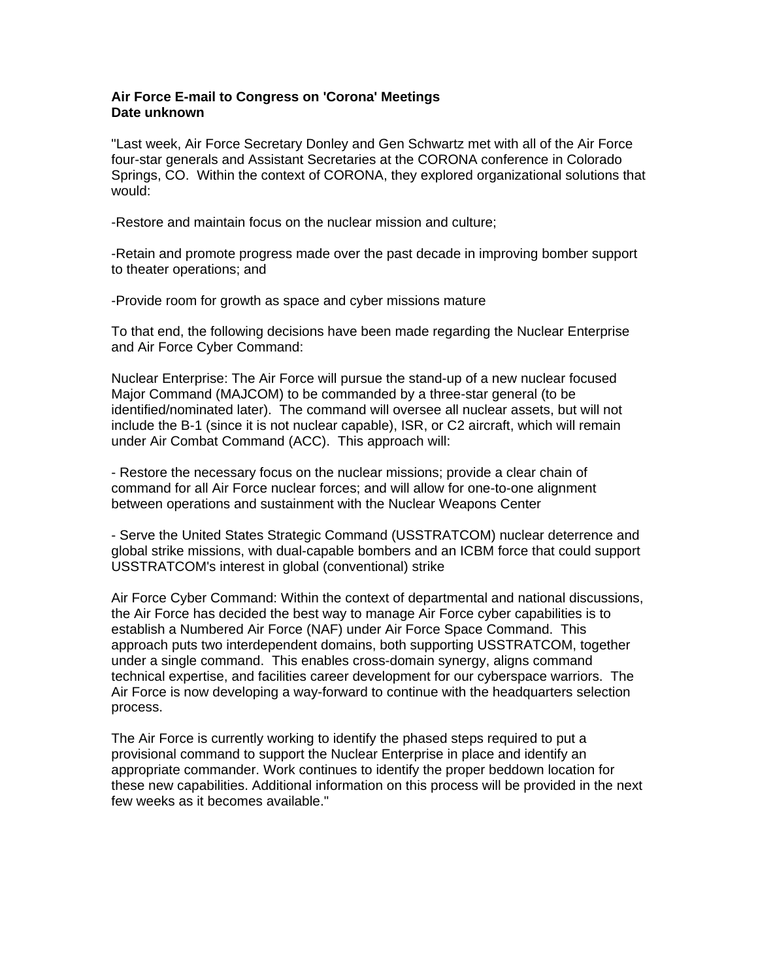## **Air Force E-mail to Congress on 'Corona' Meetings Date unknown**

"Last week, Air Force Secretary Donley and Gen Schwartz met with all of the Air Force four-star generals and Assistant Secretaries at the CORONA conference in Colorado Springs, CO. Within the context of CORONA, they explored organizational solutions that would:

-Restore and maintain focus on the nuclear mission and culture;

-Retain and promote progress made over the past decade in improving bomber support to theater operations; and

-Provide room for growth as space and cyber missions mature

To that end, the following decisions have been made regarding the Nuclear Enterprise and Air Force Cyber Command:

Nuclear Enterprise: The Air Force will pursue the stand-up of a new nuclear focused Major Command (MAJCOM) to be commanded by a three-star general (to be identified/nominated later). The command will oversee all nuclear assets, but will not include the B-1 (since it is not nuclear capable), ISR, or C2 aircraft, which will remain under Air Combat Command (ACC). This approach will:

- Restore the necessary focus on the nuclear missions; provide a clear chain of command for all Air Force nuclear forces; and will allow for one-to-one alignment between operations and sustainment with the Nuclear Weapons Center

- Serve the United States Strategic Command (USSTRATCOM) nuclear deterrence and global strike missions, with dual-capable bombers and an ICBM force that could support USSTRATCOM's interest in global (conventional) strike

Air Force Cyber Command: Within the context of departmental and national discussions, the Air Force has decided the best way to manage Air Force cyber capabilities is to establish a Numbered Air Force (NAF) under Air Force Space Command. This approach puts two interdependent domains, both supporting USSTRATCOM, together under a single command. This enables cross-domain synergy, aligns command technical expertise, and facilities career development for our cyberspace warriors. The Air Force is now developing a way-forward to continue with the headquarters selection process.

The Air Force is currently working to identify the phased steps required to put a provisional command to support the Nuclear Enterprise in place and identify an appropriate commander. Work continues to identify the proper beddown location for these new capabilities. Additional information on this process will be provided in the next few weeks as it becomes available."